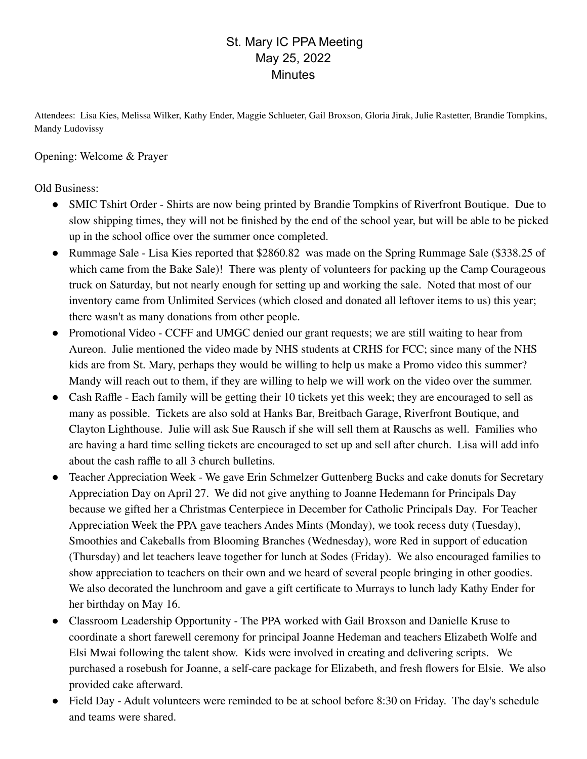## St. Mary IC PPA Meeting May 25, 2022 **Minutes**

Attendees: Lisa Kies, Melissa Wilker, Kathy Ender, Maggie Schlueter, Gail Broxson, Gloria Jirak, Julie Rastetter, Brandie Tompkins, Mandy Ludovissy

Opening: Welcome & Prayer

## Old Business:

- SMIC Tshirt Order Shirts are now being printed by Brandie Tompkins of Riverfront Boutique. Due to slow shipping times, they will not be finished by the end of the school year, but will be able to be picked up in the school office over the summer once completed.
- Rummage Sale Lisa Kies reported that \$2860.82 was made on the Spring Rummage Sale (\$338.25 of which came from the Bake Sale)! There was plenty of volunteers for packing up the Camp Courageous truck on Saturday, but not nearly enough for setting up and working the sale. Noted that most of our inventory came from Unlimited Services (which closed and donated all leftover items to us) this year; there wasn't as many donations from other people.
- Promotional Video CCFF and UMGC denied our grant requests; we are still waiting to hear from Aureon. Julie mentioned the video made by NHS students at CRHS for FCC; since many of the NHS kids are from St. Mary, perhaps they would be willing to help us make a Promo video this summer? Mandy will reach out to them, if they are willing to help we will work on the video over the summer.
- Cash Raffle Each family will be getting their 10 tickets yet this week; they are encouraged to sell as many as possible. Tickets are also sold at Hanks Bar, Breitbach Garage, Riverfront Boutique, and Clayton Lighthouse. Julie will ask Sue Rausch if she will sell them at Rauschs as well. Families who are having a hard time selling tickets are encouraged to set up and sell after church. Lisa will add info about the cash raffle to all 3 church bulletins.
- Teacher Appreciation Week We gave Erin Schmelzer Guttenberg Bucks and cake donuts for Secretary Appreciation Day on April 27. We did not give anything to Joanne Hedemann for Principals Day because we gifted her a Christmas Centerpiece in December for Catholic Principals Day. For Teacher Appreciation Week the PPA gave teachers Andes Mints (Monday), we took recess duty (Tuesday), Smoothies and Cakeballs from Blooming Branches (Wednesday), wore Red in support of education (Thursday) and let teachers leave together for lunch at Sodes (Friday). We also encouraged families to show appreciation to teachers on their own and we heard of several people bringing in other goodies. We also decorated the lunchroom and gave a gift certificate to Murrays to lunch lady Kathy Ender for her birthday on May 16.
- Classroom Leadership Opportunity The PPA worked with Gail Broxson and Danielle Kruse to coordinate a short farewell ceremony for principal Joanne Hedeman and teachers Elizabeth Wolfe and Elsi Mwai following the talent show. Kids were involved in creating and delivering scripts. We purchased a rosebush for Joanne, a self-care package for Elizabeth, and fresh flowers for Elsie. We also provided cake afterward.
- Field Day Adult volunteers were reminded to be at school before 8:30 on Friday. The day's schedule and teams were shared.